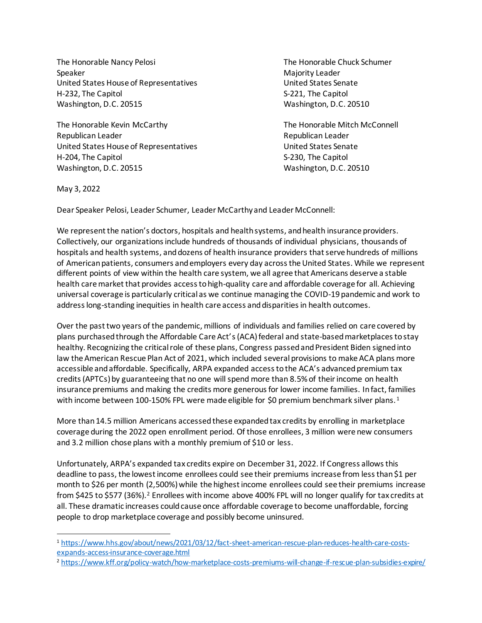The Honorable Nancy Pelosi The Honorable Chuck Schumer Speaker Majority Leader National Action of the Majority Leader Majority Leader United States House of Representatives and Muslim United States Senate H-232, The Capitol S-221, The Capitol S-221, The Capitol Washington, D.C. 20515 Washington, D.C. 20510

The Honorable Kevin McCarthy **The Honorable Mitch McConnell** Republican Leader Republican Leader United States House of Representatives United States Senate H-204, The Capitol S-230, The Capitol Washington, D.C. 20515 Washington, D.C. 20510

May 3, 2022

Dear Speaker Pelosi, Leader Schumer, Leader McCarthy and Leader McConnell:

We represent the nation's doctors, hospitals and health systems, and health insurance providers. Collectively, our organizations include hundreds of thousands of individual physicians, thousands of hospitals and health systems, and dozens of health insurance providers that serve hundreds of millions of American patients, consumers and employers every day across the United States. While we represent different points of view within the health care system, we all agree that Americans deserve a stable health care market that provides access to high-quality care and affordable coverage for all. Achieving universal coverage is particularly critical as we continue managing the COVID-19 pandemic and work to address long-standing inequities in health care access and disparities in health outcomes.

Over the past two years of the pandemic, millions of individuals and families relied on care covered by plans purchased through the Affordable Care Act's (ACA) federal and state-based marketplaces to stay healthy. Recognizing the critical role of these plans, Congress passedand President Biden signed into law the American Rescue Plan Act of 2021, which included several provisions to make ACA plans more accessible and affordable. Specifically, ARPA expanded access to the ACA's advanced premium tax credits (APTCs) by guaranteeing that no one will spend more than 8.5% of their income on health insurance premiums and making the credits more generous for lower income families. In fact, families with income between 100-150% FPL were made eligible for \$0 premium benchmark silver plans.<sup>1</sup>

More than 14.5 million Americans accessedthese expanded tax credits by enrolling in marketplace coverage during the 2022 open enrollment period. Of those enrollees, 3 million were new consumers and 3.2 million chose plans with a monthly premium of \$10 or less.

Unfortunately, ARPA's expanded tax credits expire on December 31, 2022. If Congress allows this deadline to pass, the lowest income enrollees could see their premiums increase from less than \$1 per month to \$26 per month (2,500%) while the highest income enrollees could see their premiums increase from \$425 to \$577 (36%).<sup>2</sup> Enrollees with income above 400% FPL will no longer qualify for tax credits at all. These dramatic increases could cause once affordable coverage to become unaffordable, forcing people to drop marketplace coverage and possibly become uninsured.

<sup>1</sup> [https://www.hhs.gov/about/news/2021/03/12/fact-sheet-american-rescue-plan-reduces-health-care-costs](https://www.hhs.gov/about/news/2021/03/12/fact-sheet-american-rescue-plan-reduces-health-care-costs-expands-access-insurance-coverage.html)[expands-access-insurance-coverage.html](https://www.hhs.gov/about/news/2021/03/12/fact-sheet-american-rescue-plan-reduces-health-care-costs-expands-access-insurance-coverage.html)

<sup>2</sup> <https://www.kff.org/policy-watch/how-marketplace-costs-premiums-will-change-if-rescue-plan-subsidies-expire/>